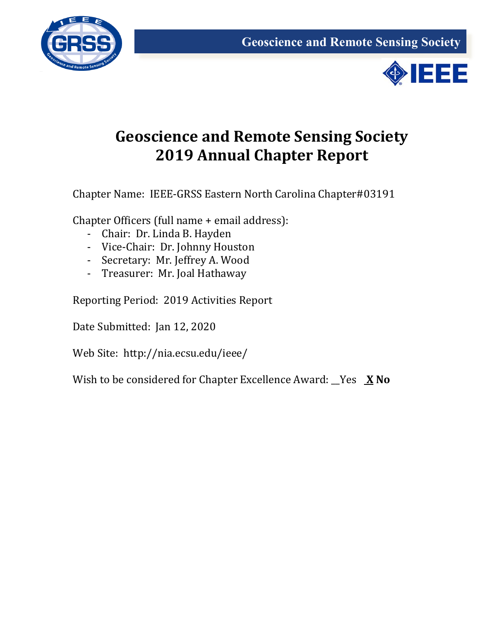



## **Geoscience and Remote Sensing Society 2019 Annual Chapter Report**

Chapter Name: IEEE-GRSS Eastern North Carolina Chapter#03191

Chapter Officers (full name + email address):

- Chair: Dr. Linda B. Hayden
- Vice-Chair: Dr. Johnny Houston
- Secretary: Mr. Jeffrey A. Wood
- Treasurer: Mr. Joal Hathaway

Reporting Period: 2019 Activities Report

Date Submitted: Jan 12, 2020

Web Site: http://nia.ecsu.edu/ieee/

Wish to be considered for Chapter Excellence Award: \_\_Yes **X No**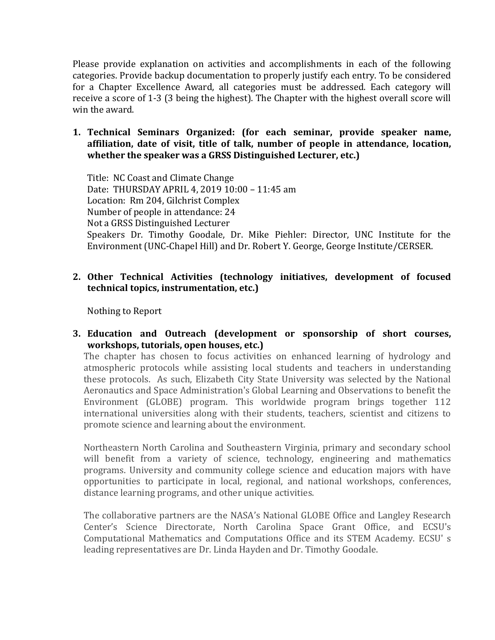Please provide explanation on activities and accomplishments in each of the following categories. Provide backup documentation to properly justify each entry. To be considered for a Chapter Excellence Award, all categories must be addressed. Each category will receive a score of 1-3 (3 being the highest). The Chapter with the highest overall score will win the award.

**1. Technical Seminars Organized: (for each seminar, provide speaker name, affiliation, date of visit, title of talk, number of people in attendance, location, whether the speaker was a GRSS Distinguished Lecturer, etc.)**

Title: NC Coast and Climate Change Date: THURSDAY APRIL 4, 2019 10:00 – 11:45 am Location: Rm 204, Gilchrist Complex Number of people in attendance: 24 Not a GRSS Distinguished Lecturer Speakers Dr. Timothy Goodale, Dr. Mike Piehler: Director, UNC Institute for the Environment (UNC-Chapel Hill) and Dr. Robert Y. George, George Institute/CERSER.

## **2. Other Technical Activities (technology initiatives, development of focused technical topics, instrumentation, etc.)**

Nothing to Report

**3. Education and Outreach (development or sponsorship of short courses, workshops, tutorials, open houses, etc.)**

The chapter has chosen to focus activities on enhanced learning of hydrology and atmospheric protocols while assisting local students and teachers in understanding these protocols. As such, Elizabeth City State University was selected by the National Aeronautics and Space Administration's Global Learning and Observations to benefit the Environment (GLOBE) program. This worldwide program brings together 112 international universities along with their students, teachers, scientist and citizens to promote science and learning about the environment.

Northeastern North Carolina and Southeastern Virginia, primary and secondary school will benefit from a variety of science, technology, engineering and mathematics programs. University and community college science and education majors with have opportunities to participate in local, regional, and national workshops, conferences, distance learning programs, and other unique activities.

The collaborative partners are the NASA's National GLOBE Office and Langley Research Center's Science Directorate, North Carolina Space Grant Office, and ECSU's Computational Mathematics and Computations Office and its STEM Academy. ECSU' s leading representatives are Dr. Linda Hayden and Dr. Timothy Goodale.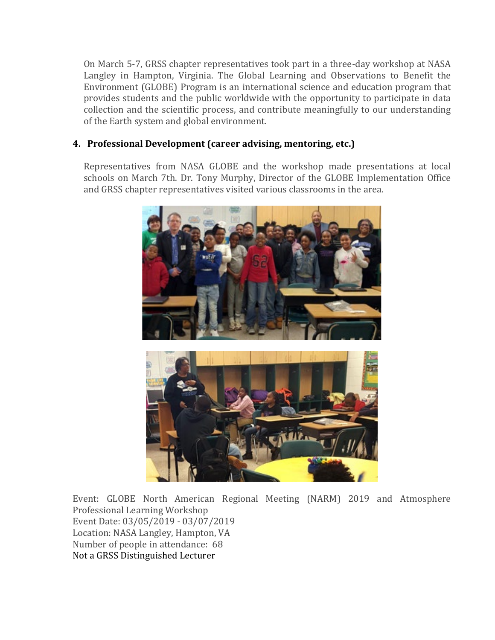On March 5-7, GRSS chapter representatives took part in a three-day workshop at NASA Langley in Hampton, Virginia. The Global Learning and Observations to Benefit the Environment (GLOBE) Program is an international science and education program that provides students and the public worldwide with the opportunity to participate in data collection and the scientific process, and contribute meaningfully to our understanding of the Earth system and global environment.

## **4. Professional Development (career advising, mentoring, etc.)**

Representatives from NASA GLOBE and the workshop made presentations at local schools on March 7th. Dr. Tony Murphy, Director of the GLOBE Implementation Office and GRSS chapter representatives visited various classrooms in the area.



Event: GLOBE North American Regional Meeting (NARM) 2019 and Atmosphere Professional Learning Workshop Event Date: 03/05/2019 - 03/07/2019 Location: NASA Langley, Hampton, VA Number of people in attendance: 68 Not a GRSS Distinguished Lecturer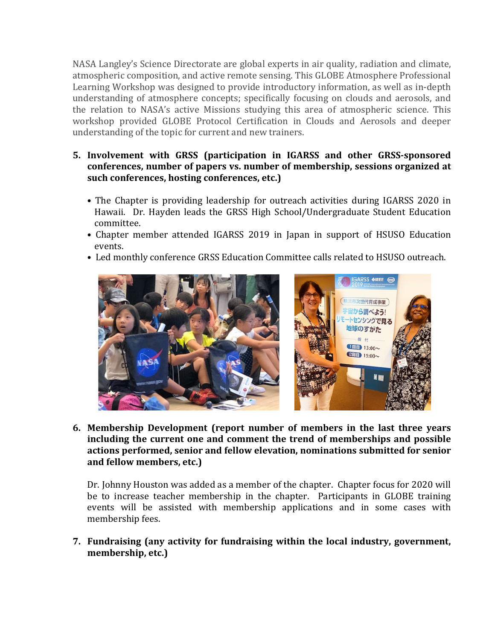NASA Langley's Science Directorate are global experts in air quality, radiation and climate, atmospheric composition, and active remote sensing. This GLOBE Atmosphere Professional Learning Workshop was designed to provide introductory information, as well as in-depth understanding of atmosphere concepts; specifically focusing on clouds and aerosols, and the relation to NASA's active Missions studying this area of atmospheric science. This workshop provided GLOBE Protocol Certification in Clouds and Aerosols and deeper understanding of the topic for current and new trainers.

## **5. Involvement with GRSS (participation in IGARSS and other GRSS-sponsored conferences, number of papers vs. number of membership, sessions organized at such conferences, hosting conferences, etc.)**

- The Chapter is providing leadership for outreach activities during IGARSS 2020 in Hawaii. Dr. Hayden leads the GRSS High School/Undergraduate Student Education committee.
- Chapter member attended IGARSS 2019 in Japan in support of HSUSO Education events.
- Led monthly conference GRSS Education Committee calls related to HSUSO outreach.



**6. Membership Development (report number of members in the last three years including the current one and comment the trend of memberships and possible actions performed, senior and fellow elevation, nominations submitted for senior and fellow members, etc.)**

Dr. Johnny Houston was added as a member of the chapter. Chapter focus for 2020 will be to increase teacher membership in the chapter. Participants in GLOBE training events will be assisted with membership applications and in some cases with membership fees.

**7. Fundraising (any activity for fundraising within the local industry, government, membership, etc.)**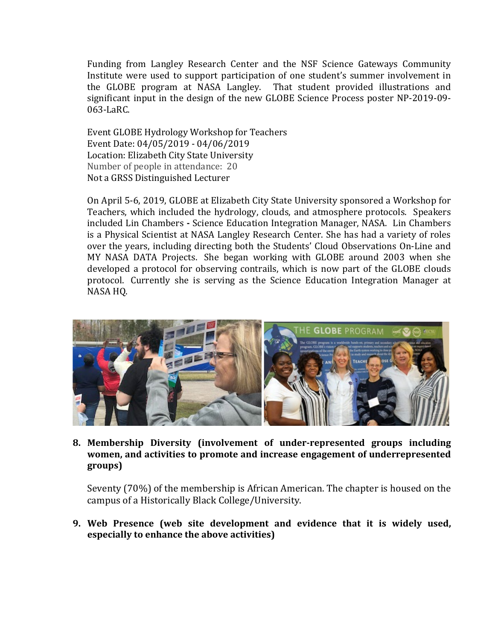Funding from Langley Research Center and the NSF Science Gateways Community Institute were used to support participation of one student's summer involvement in the GLOBE program at NASA Langley. That student provided illustrations and significant input in the design of the new GLOBE Science Process poster NP-2019-09- 063-LaRC.

Event GLOBE Hydrology Workshop for Teachers Event Date: 04/05/2019 - 04/06/2019 Location: Elizabeth City State University Number of people in attendance: 20 Not a GRSS Distinguished Lecturer

On April 5-6, 2019, GLOBE at Elizabeth City State University sponsored a Workshop for Teachers, which included the hydrology, clouds, and atmosphere protocols. Speakers included Lin Chambers **-** Science Education Integration Manager, NASA. Lin Chambers is a Physical Scientist at NASA Langley Research Center. She has had a variety of roles over the years, including directing both the Students' Cloud Observations On-Line and MY NASA DATA Projects. She began working with GLOBE around 2003 when she developed a protocol for observing contrails, which is now part of the GLOBE clouds protocol. Currently she is serving as the Science Education Integration Manager at NASA HQ.



**8. Membership Diversity (involvement of under-represented groups including women, and activities to promote and increase engagement of underrepresented groups)**

Seventy (70%) of the membership is African American. The chapter is housed on the campus of a Historically Black College/University.

**9. Web Presence (web site development and evidence that it is widely used, especially to enhance the above activities)**